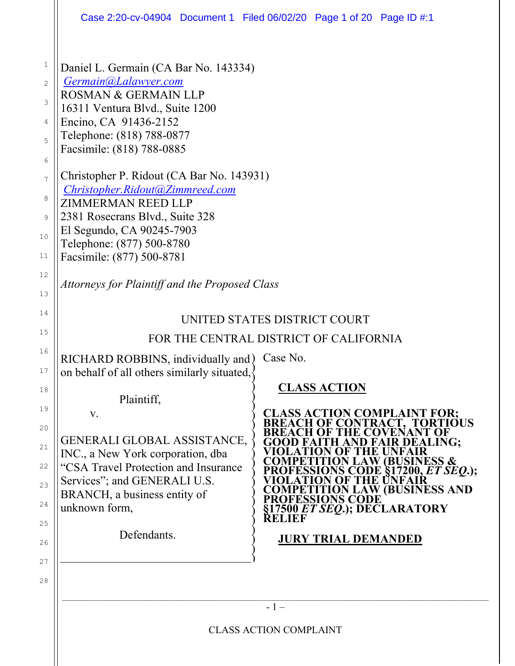|                                                                                        | Case 2:20-cv-04904 Document 1 Filed 06/02/20 Page 1 of 20 Page ID #:1                                                                                                                                                                                                                                                                                                                                                                                  |                           |                                                                         |                                                                                                                                                                                                  |  |
|----------------------------------------------------------------------------------------|--------------------------------------------------------------------------------------------------------------------------------------------------------------------------------------------------------------------------------------------------------------------------------------------------------------------------------------------------------------------------------------------------------------------------------------------------------|---------------------------|-------------------------------------------------------------------------|--------------------------------------------------------------------------------------------------------------------------------------------------------------------------------------------------|--|
| 1<br>$\mathbf{2}$<br>3<br>4<br>5<br>6<br>7<br>8<br>9<br>10<br>11                       | Daniel L. Germain (CA Bar No. 143334)<br>Germain@Lalawyer.com<br><b>ROSMAN &amp; GERMAIN LLP</b><br>16311 Ventura Blvd., Suite 1200<br>Encino, CA 91436-2152<br>Telephone: (818) 788-0877<br>Facsimile: (818) 788-0885<br>Christopher P. Ridout (CA Bar No. 143931)<br>Christopher.Ridout@Zimmreed.com<br>ZIMMERMAN REED LLP<br>2381 Rosecrans Blvd., Suite 328<br>El Segundo, CA 90245-7903<br>Telephone: (877) 500-8780<br>Facsimile: (877) 500-8781 |                           |                                                                         |                                                                                                                                                                                                  |  |
| 12<br>13                                                                               | Attorneys for Plaintiff and the Proposed Class                                                                                                                                                                                                                                                                                                                                                                                                         |                           |                                                                         |                                                                                                                                                                                                  |  |
| 14<br>15<br>16<br>17<br>18<br>19<br>20<br>21<br>22<br>23<br>24<br>25<br>26<br>27<br>28 | UNITED STATES DISTRICT COURT<br>FOR THE CENTRAL DISTRICT OF CALIFORNIA<br>RICHARD ROBBINS, individually and)<br>on behalf of all others similarly situated,<br>Plaintiff,<br>V.<br>GENERALI GLOBAL ASSISTANCE,<br>INC., a New York corporation, dba<br>"CSA Travel Protection and Insurance<br>Services"; and GENERALI U.S.<br>BRANCH, a business entity of<br>unknown form,<br>Defendants.                                                            | Case No.<br><b>RELIEF</b> | <b>CLASS ACTION</b><br>H.<br>ESSIONS CODE<br><b>JURY TRIAL DEMANDED</b> | <b>CLASS ACTION COMPLAINT FOR;</b><br><b>BREACH OF CONTRACT, TORTIOUS</b><br>EALING:<br><b>BUSINESS &amp;</b><br>DE §17200, <i>ET SEQ</i> .);<br>LAW (BUSINESS AND<br>7500 ET SEQ.); DECLARATORY |  |
|                                                                                        | $-1-$                                                                                                                                                                                                                                                                                                                                                                                                                                                  |                           |                                                                         |                                                                                                                                                                                                  |  |
|                                                                                        | <b>CLASS ACTION COMPLAINT</b>                                                                                                                                                                                                                                                                                                                                                                                                                          |                           |                                                                         |                                                                                                                                                                                                  |  |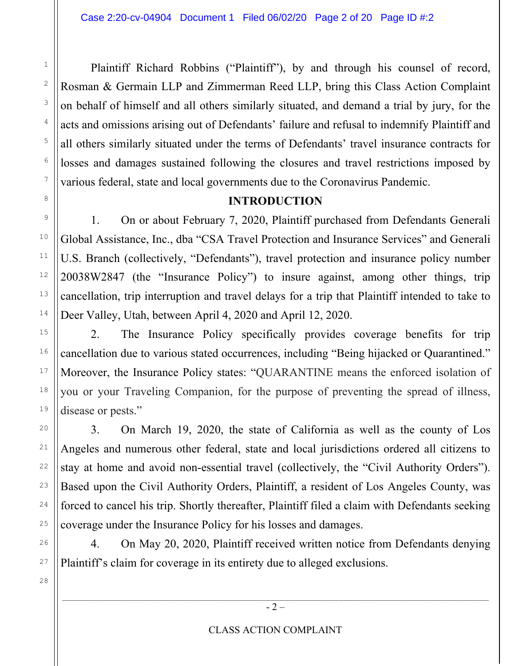2

3

4

5

6

7

8

9

10

11

12

13

14

15

16

17

18

19

20

21

22

23

24

25

26

27

28

 Plaintiff Richard Robbins ("Plaintiff"), by and through his counsel of record, Rosman & Germain LLP and Zimmerman Reed LLP, bring this Class Action Complaint on behalf of himself and all others similarly situated, and demand a trial by jury, for the acts and omissions arising out of Defendants' failure and refusal to indemnify Plaintiff and all others similarly situated under the terms of Defendants' travel insurance contracts for losses and damages sustained following the closures and travel restrictions imposed by various federal, state and local governments due to the Coronavirus Pandemic.

#### **INTRODUCTION**

1. On or about February 7, 2020, Plaintiff purchased from Defendants Generali Global Assistance, Inc., dba "CSA Travel Protection and Insurance Services" and Generali U.S. Branch (collectively, "Defendants"), travel protection and insurance policy number 20038W2847 (the "Insurance Policy") to insure against, among other things, trip cancellation, trip interruption and travel delays for a trip that Plaintiff intended to take to Deer Valley, Utah, between April 4, 2020 and April 12, 2020.

2. The Insurance Policy specifically provides coverage benefits for trip cancellation due to various stated occurrences, including "Being hijacked or Quarantined." Moreover, the Insurance Policy states: "QUARANTINE means the enforced isolation of you or your Traveling Companion, for the purpose of preventing the spread of illness, disease or pests."

3. On March 19, 2020, the state of California as well as the county of Los Angeles and numerous other federal, state and local jurisdictions ordered all citizens to stay at home and avoid non-essential travel (collectively, the "Civil Authority Orders"). Based upon the Civil Authority Orders, Plaintiff, a resident of Los Angeles County, was forced to cancel his trip. Shortly thereafter, Plaintiff filed a claim with Defendants seeking coverage under the Insurance Policy for his losses and damages.

4. On May 20, 2020, Plaintiff received written notice from Defendants denying Plaintiff's claim for coverage in its entirety due to alleged exclusions.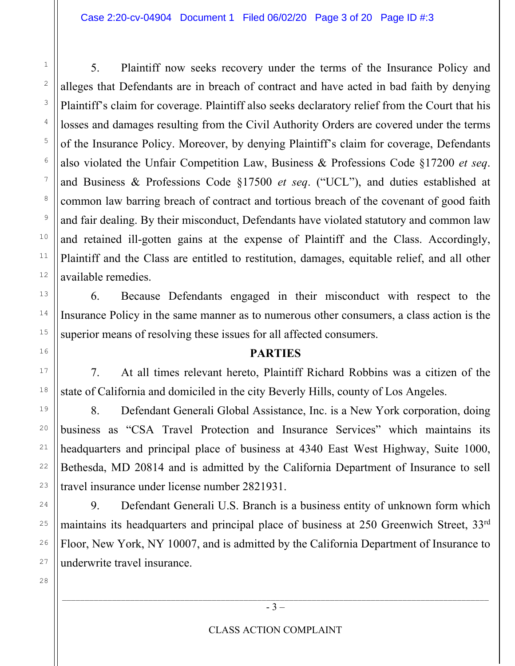5. Plaintiff now seeks recovery under the terms of the Insurance Policy and alleges that Defendants are in breach of contract and have acted in bad faith by denying Plaintiff's claim for coverage. Plaintiff also seeks declaratory relief from the Court that his losses and damages resulting from the Civil Authority Orders are covered under the terms of the Insurance Policy. Moreover, by denying Plaintiff's claim for coverage, Defendants also violated the Unfair Competition Law, Business & Professions Code §17200 *et seq*. and Business & Professions Code §17500 *et seq*. ("UCL"), and duties established at common law barring breach of contract and tortious breach of the covenant of good faith and fair dealing. By their misconduct, Defendants have violated statutory and common law and retained ill-gotten gains at the expense of Plaintiff and the Class. Accordingly, Plaintiff and the Class are entitled to restitution, damages, equitable relief, and all other available remedies.

6. Because Defendants engaged in their misconduct with respect to the Insurance Policy in the same manner as to numerous other consumers, a class action is the superior means of resolving these issues for all affected consumers.

#### **PARTIES**

7. At all times relevant hereto, Plaintiff Richard Robbins was a citizen of the state of California and domiciled in the city Beverly Hills, county of Los Angeles.

8. Defendant Generali Global Assistance, Inc. is a New York corporation, doing business as "CSA Travel Protection and Insurance Services" which maintains its headquarters and principal place of business at 4340 East West Highway, Suite 1000, Bethesda, MD 20814 and is admitted by the California Department of Insurance to sell travel insurance under license number 2821931.

9. Defendant Generali U.S. Branch is a business entity of unknown form which maintains its headquarters and principal place of business at 250 Greenwich Street, 33rd Floor, New York, NY 10007, and is admitted by the California Department of Insurance to underwrite travel insurance.

28

1

2

3

4

5

6

7

8

9

10

11

12

13

14

15

16

17

18

19

20

21

22

23

24

25

26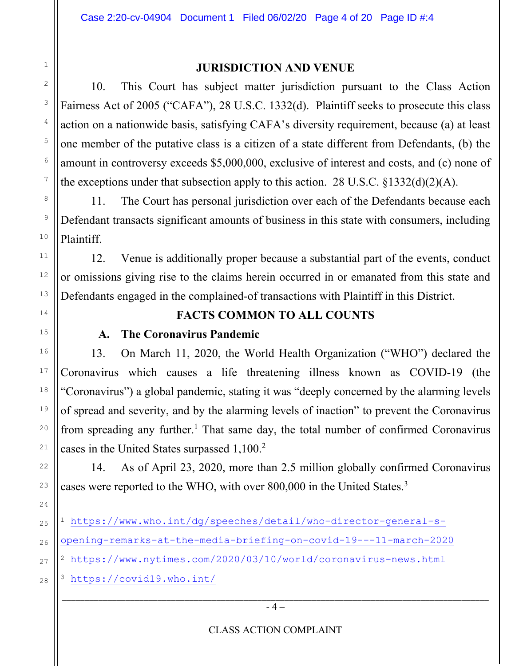#### **JURISDICTION AND VENUE**

10. This Court has subject matter jurisdiction pursuant to the Class Action Fairness Act of 2005 ("CAFA"), 28 U.S.C. 1332(d). Plaintiff seeks to prosecute this class action on a nationwide basis, satisfying CAFA's diversity requirement, because (a) at least one member of the putative class is a citizen of a state different from Defendants, (b) the amount in controversy exceeds \$5,000,000, exclusive of interest and costs, and (c) none of the exceptions under that subsection apply to this action. 28 U.S.C.  $\S 1332(d)(2)(A)$ .

11. The Court has personal jurisdiction over each of the Defendants because each Defendant transacts significant amounts of business in this state with consumers, including Plaintiff.

12. Venue is additionally proper because a substantial part of the events, conduct or omissions giving rise to the claims herein occurred in or emanated from this state and Defendants engaged in the complained-of transactions with Plaintiff in this District.

### **FACTS COMMON TO ALL COUNTS**

#### **A. The Coronavirus Pandemic**

13. On March 11, 2020, the World Health Organization ("WHO") declared the Coronavirus which causes a life threatening illness known as COVID-19 (the "Coronavirus") a global pandemic, stating it was "deeply concerned by the alarming levels of spread and severity, and by the alarming levels of inaction" to prevent the Coronavirus from spreading any further.<sup>1</sup> That same day, the total number of confirmed Coronavirus cases in the United States surpassed 1,100.<sup>2</sup>

14. As of April 23, 2020, more than 2.5 million globally confirmed Coronavirus cases were reported to the WHO, with over 800,000 in the United States.<sup>3</sup>

<sup>3</sup> https://covid19.who.int/

1

<sup>1</sup> https://www.who.int/dg/speeches/detail/who-director-general-s-

opening-remarks-at-the-media-briefing-on-covid-19---11-march-2020

<sup>2</sup> https://www.nytimes.com/2020/03/10/world/coronavirus-news.html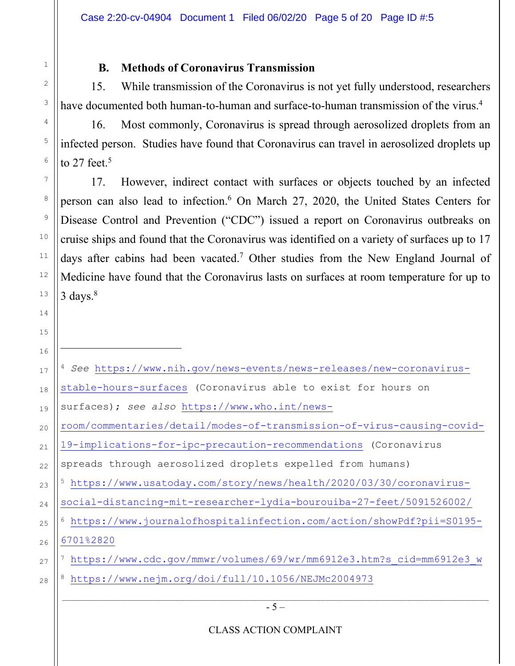# **B. Methods of Coronavirus Transmission**

1

2

3

4

5

6

7

8

9

10

11

12

13

14

15

15. While transmission of the Coronavirus is not yet fully understood, researchers have documented both human-to-human and surface-to-human transmission of the virus.<sup>4</sup>

16. Most commonly, Coronavirus is spread through aerosolized droplets from an infected person. Studies have found that Coronavirus can travel in aerosolized droplets up to 27 feet. $5$ 

17. However, indirect contact with surfaces or objects touched by an infected person can also lead to infection.<sup>6</sup> On March 27, 2020, the United States Centers for Disease Control and Prevention ("CDC") issued a report on Coronavirus outbreaks on cruise ships and found that the Coronavirus was identified on a variety of surfaces up to 17 days after cabins had been vacated.<sup>7</sup> Other studies from the New England Journal of Medicine have found that the Coronavirus lasts on surfaces at room temperature for up to  $3 \text{ days.}^8$ 

| 16 |                                                                        |
|----|------------------------------------------------------------------------|
| 17 | 4 See https://www.nih.gov/news-events/news-releases/new-coronavirus-   |
| 18 | stable-hours-surfaces (Coronavirus able to exist for hours on          |
| 19 | surfaces); see also https://www.who.int/news-                          |
| 20 | room/commentaries/detail/modes-of-transmission-of-virus-causing-covid- |
| 21 | 19-implications-for-ipc-precaution-recommendations (Coronavirus        |
| 22 | spreads through aerosolized droplets expelled from humans)             |
| 23 | https://www.usatoday.com/story/news/health/2020/03/30/coronavirus-     |
| 24 | social-distancing-mit-researcher-lydia-bourouiba-27-feet/5091526002/   |
| 25 | https://www.journalofhospitalinfection.com/action/showPdf?pii=S0195-   |
| 26 | 6701%2820                                                              |
| 27 | https://www.cdc.gov/mmwr/volumes/69/wr/mm6912e3.htm?s cid=mm6912e3 w   |
| 28 | https://www.nejm.org/doi/full/10.1056/NEJMc2004973                     |
|    |                                                                        |
|    | $-5-$                                                                  |
|    |                                                                        |

CLASS ACTION COMPLAINT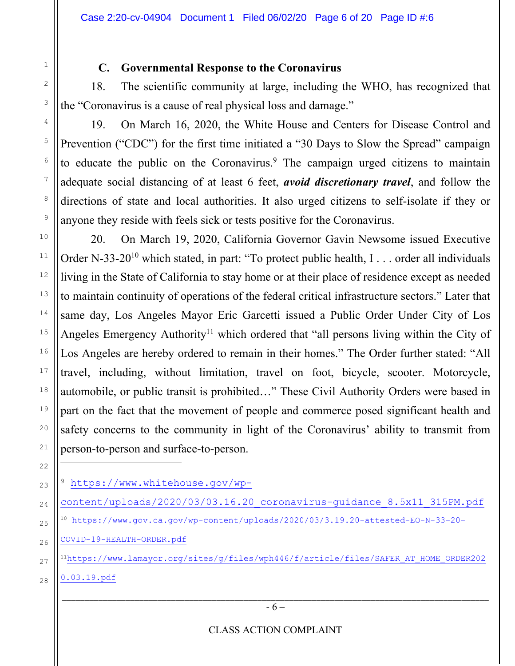2

3

4

5

6

7

8

9

10

11

12

13

14

15

16

17

18

19

20

21

22

27

28

### **C. Governmental Response to the Coronavirus**

18. The scientific community at large, including the WHO, has recognized that the "Coronavirus is a cause of real physical loss and damage."

19. On March 16, 2020, the White House and Centers for Disease Control and Prevention ("CDC") for the first time initiated a "30 Days to Slow the Spread" campaign to educate the public on the Coronavirus.<sup>9</sup> The campaign urged citizens to maintain adequate social distancing of at least 6 feet, *avoid discretionary travel*, and follow the directions of state and local authorities. It also urged citizens to self-isolate if they or anyone they reside with feels sick or tests positive for the Coronavirus.

20. On March 19, 2020, California Governor Gavin Newsome issued Executive Order N-33-20<sup>10</sup> which stated, in part: "To protect public health, I . . . order all individuals living in the State of California to stay home or at their place of residence except as needed to maintain continuity of operations of the federal critical infrastructure sectors." Later that same day, Los Angeles Mayor Eric Garcetti issued a Public Order Under City of Los Angeles Emergency Authority<sup>11</sup> which ordered that "all persons living within the City of Los Angeles are hereby ordered to remain in their homes." The Order further stated: "All travel, including, without limitation, travel on foot, bicycle, scooter. Motorcycle, automobile, or public transit is prohibited…" These Civil Authority Orders were based in part on the fact that the movement of people and commerce posed significant health and safety concerns to the community in light of the Coronavirus' ability to transmit from person-to-person and surface-to-person.

- 23 <sup>9</sup> https://www.whitehouse.gov/wp-
- 24 25 content/uploads/2020/03/03.16.20\_coronavirus-guidance\_8.5x11\_315PM.pdf <sup>10</sup> https://www.gov.ca.gov/wp-content/uploads/2020/03/3.19.20-attested-EO-N-33-20-
- 26 COVID-19-HEALTH-ORDER.pdf
	- 11https://www.lamayor.org/sites/g/files/wph446/f/article/files/SAFER\_AT\_HOME\_ORDER202 0.03.19.pdf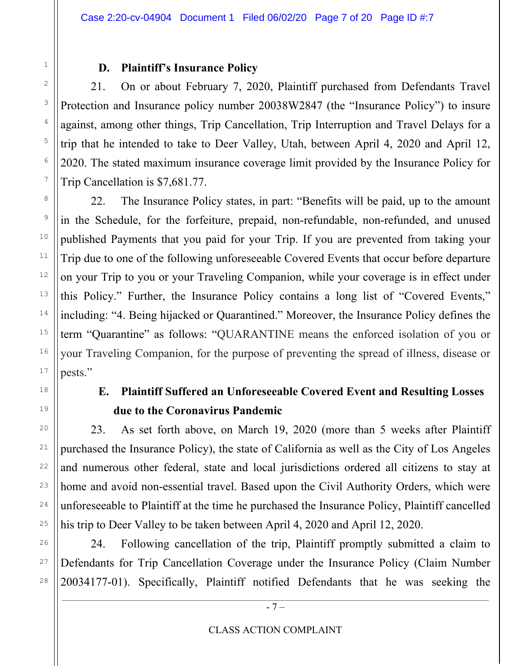### **D. Plaintiff's Insurance Policy**

21. On or about February 7, 2020, Plaintiff purchased from Defendants Travel Protection and Insurance policy number 20038W2847 (the "Insurance Policy") to insure against, among other things, Trip Cancellation, Trip Interruption and Travel Delays for a trip that he intended to take to Deer Valley, Utah, between April 4, 2020 and April 12, 2020. The stated maximum insurance coverage limit provided by the Insurance Policy for Trip Cancellation is \$7,681.77.

22. The Insurance Policy states, in part: "Benefits will be paid, up to the amount in the Schedule, for the forfeiture, prepaid, non-refundable, non-refunded, and unused published Payments that you paid for your Trip. If you are prevented from taking your Trip due to one of the following unforeseeable Covered Events that occur before departure on your Trip to you or your Traveling Companion, while your coverage is in effect under this Policy." Further, the Insurance Policy contains a long list of "Covered Events," including: "4. Being hijacked or Quarantined." Moreover, the Insurance Policy defines the term "Quarantine" as follows: "QUARANTINE means the enforced isolation of you or your Traveling Companion, for the purpose of preventing the spread of illness, disease or pests."

# **E. Plaintiff Suffered an Unforeseeable Covered Event and Resulting Losses due to the Coronavirus Pandemic**

23. As set forth above, on March 19, 2020 (more than 5 weeks after Plaintiff purchased the Insurance Policy), the state of California as well as the City of Los Angeles and numerous other federal, state and local jurisdictions ordered all citizens to stay at home and avoid non-essential travel. Based upon the Civil Authority Orders, which were unforeseeable to Plaintiff at the time he purchased the Insurance Policy, Plaintiff cancelled his trip to Deer Valley to be taken between April 4, 2020 and April 12, 2020.

24. Following cancellation of the trip, Plaintiff promptly submitted a claim to Defendants for Trip Cancellation Coverage under the Insurance Policy (Claim Number 20034177-01). Specifically, Plaintiff notified Defendants that he was seeking the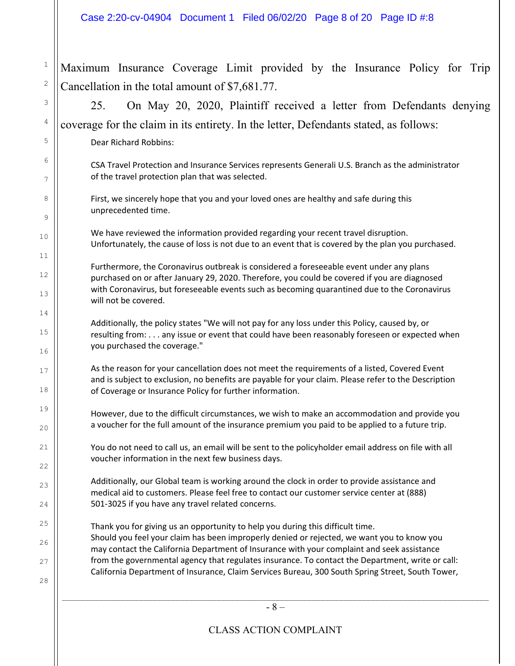$\_$  ,  $\_$  ,  $\_$  ,  $\_$  ,  $\_$  ,  $\_$  ,  $\_$  ,  $\_$  ,  $\_$  ,  $\_$  ,  $\_$  ,  $\_$  ,  $\_$  ,  $\_$  ,  $\_$  ,  $\_$  ,  $\_$  ,  $\_$  ,  $\_$  ,  $\_$  ,  $\_$  ,  $\_$  ,  $\_$  ,  $\_$  ,  $\_$  ,  $\_$  ,  $\_$  ,  $\_$  ,  $\_$  ,  $\_$  ,  $\_$  ,  $\_$  ,  $\_$  ,  $\_$  ,  $\_$  ,  $\_$  ,  $\_$  , - 8 – 1 2 3 4 5 6 7 8 9 10 11 12 13 14 15 16 17 18 19 20 21 22  $23$ 24 25 26 27 28 Maximum Insurance Coverage Limit provided by the Insurance Policy for Trip Cancellation in the total amount of \$7,681.77. 25. On May 20, 2020, Plaintiff received a letter from Defendants denying coverage for the claim in its entirety. In the letter, Defendants stated, as follows: Dear Richard Robbins: CSA Travel Protection and Insurance Services represents Generali U.S. Branch as the administrator of the travel protection plan that was selected. First, we sincerely hope that you and your loved ones are healthy and safe during this unprecedented time. We have reviewed the information provided regarding your recent travel disruption. Unfortunately, the cause of loss is not due to an event that is covered by the plan you purchased. Furthermore, the Coronavirus outbreak is considered a foreseeable event under any plans purchased on or after January 29, 2020. Therefore, you could be covered if you are diagnosed with Coronavirus, but foreseeable events such as becoming quarantined due to the Coronavirus will not be covered. Additionally, the policy states "We will not pay for any loss under this Policy, caused by, or resulting from: . . . any issue or event that could have been reasonably foreseen or expected when you purchased the coverage." As the reason for your cancellation does not meet the requirements of a listed, Covered Event and is subject to exclusion, no benefits are payable for your claim. Please refer to the Description of Coverage or Insurance Policy for further information. However, due to the difficult circumstances, we wish to make an accommodation and provide you a voucher for the full amount of the insurance premium you paid to be applied to a future trip. You do not need to call us, an email will be sent to the policyholder email address on file with all voucher information in the next few business days. Additionally, our Global team is working around the clock in order to provide assistance and medical aid to customers. Please feel free to contact our customer service center at (888) 501‐3025 if you have any travel related concerns. Thank you for giving us an opportunity to help you during this difficult time. Should you feel your claim has been improperly denied or rejected, we want you to know you may contact the California Department of Insurance with your complaint and seek assistance from the governmental agency that regulates insurance. To contact the Department, write or call: California Department of Insurance, Claim Services Bureau, 300 South Spring Street, South Tower,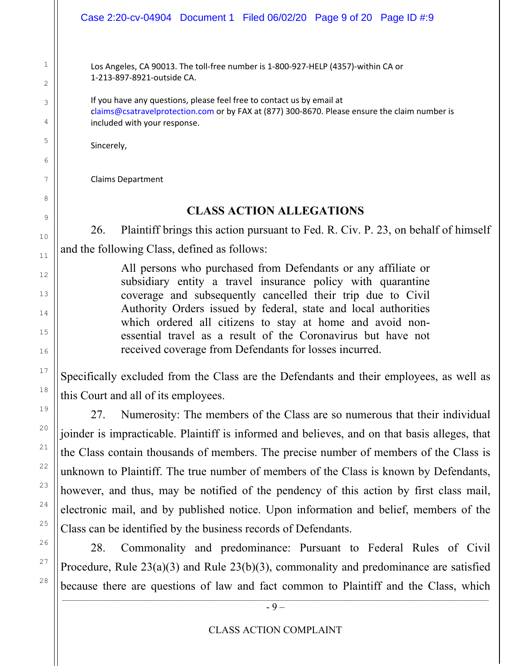Los Angeles, CA 90013. The toll‐free number is 1‐800‐927‐HELP (4357)‐within CA or 1‐213‐897‐8921‐outside CA.

If you have any questions, please feel free to contact us by email at claims@csatravelprotection.com or by FAX at (877) 300‐8670. Please ensure the claim number is included with your response.

Sincerely,

Claims Department

# **CLASS ACTION ALLEGATIONS**

26. Plaintiff brings this action pursuant to Fed. R. Civ. P. 23, on behalf of himself and the following Class, defined as follows:

> All persons who purchased from Defendants or any affiliate or subsidiary entity a travel insurance policy with quarantine coverage and subsequently cancelled their trip due to Civil Authority Orders issued by federal, state and local authorities which ordered all citizens to stay at home and avoid nonessential travel as a result of the Coronavirus but have not received coverage from Defendants for losses incurred.

Specifically excluded from the Class are the Defendants and their employees, as well as this Court and all of its employees.

27. Numerosity: The members of the Class are so numerous that their individual joinder is impracticable. Plaintiff is informed and believes, and on that basis alleges, that the Class contain thousands of members. The precise number of members of the Class is unknown to Plaintiff. The true number of members of the Class is known by Defendants, however, and thus, may be notified of the pendency of this action by first class mail, electronic mail, and by published notice. Upon information and belief, members of the Class can be identified by the business records of Defendants.

 $\_$  ,  $\_$  ,  $\_$  ,  $\_$  ,  $\_$  ,  $\_$  ,  $\_$  ,  $\_$  ,  $\_$  ,  $\_$  ,  $\_$  ,  $\_$  ,  $\_$  ,  $\_$  ,  $\_$  ,  $\_$  ,  $\_$  ,  $\_$  ,  $\_$  ,  $\_$  ,  $\_$  ,  $\_$  ,  $\_$  ,  $\_$  ,  $\_$  ,  $\_$  ,  $\_$  ,  $\_$  ,  $\_$  ,  $\_$  ,  $\_$  ,  $\_$  ,  $\_$  ,  $\_$  ,  $\_$  ,  $\_$  ,  $\_$  , 28. Commonality and predominance: Pursuant to Federal Rules of Civil Procedure, Rule 23(a)(3) and Rule 23(b)(3), commonality and predominance are satisfied because there are questions of law and fact common to Plaintiff and the Class, which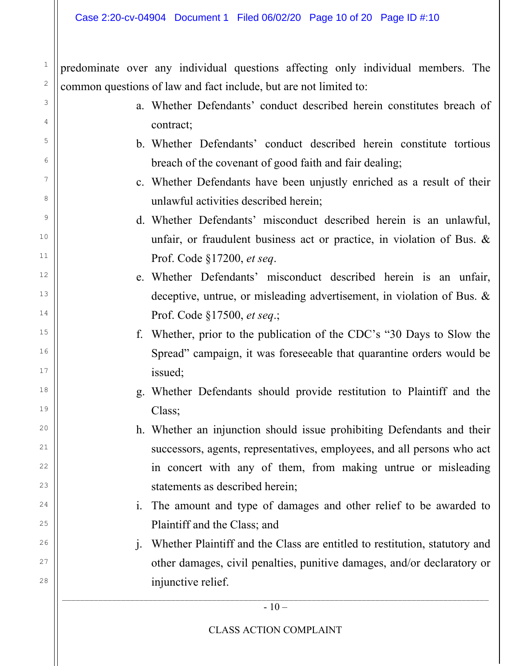2

3

4

5

6

7

8

9

10

11

12

13

14

15

16

17

18

19

 $20$ 

21

22

 $2<sup>2</sup>$ 

24

25

26

27

28

predominate over any individual questions affecting only individual members. The common questions of law and fact include, but are not limited to:

- a. Whether Defendants' conduct described herein constitutes breach of contract;
- b. Whether Defendants' conduct described herein constitute tortious breach of the covenant of good faith and fair dealing;
- c. Whether Defendants have been unjustly enriched as a result of their unlawful activities described herein;
- d. Whether Defendants' misconduct described herein is an unlawful, unfair, or fraudulent business act or practice, in violation of Bus. & Prof. Code §17200, *et seq*.
- e. Whether Defendants' misconduct described herein is an unfair, deceptive, untrue, or misleading advertisement, in violation of Bus. & Prof. Code §17500, *et seq*.;
- f. Whether, prior to the publication of the CDC's "30 Days to Slow the Spread" campaign, it was foreseeable that quarantine orders would be issued;
- g. Whether Defendants should provide restitution to Plaintiff and the Class;
- h. Whether an injunction should issue prohibiting Defendants and their successors, agents, representatives, employees, and all persons who act in concert with any of them, from making untrue or misleading statements as described herein;
- i. The amount and type of damages and other relief to be awarded to Plaintiff and the Class; and
- j. Whether Plaintiff and the Class are entitled to restitution, statutory and other damages, civil penalties, punitive damages, and/or declaratory or injunctive relief.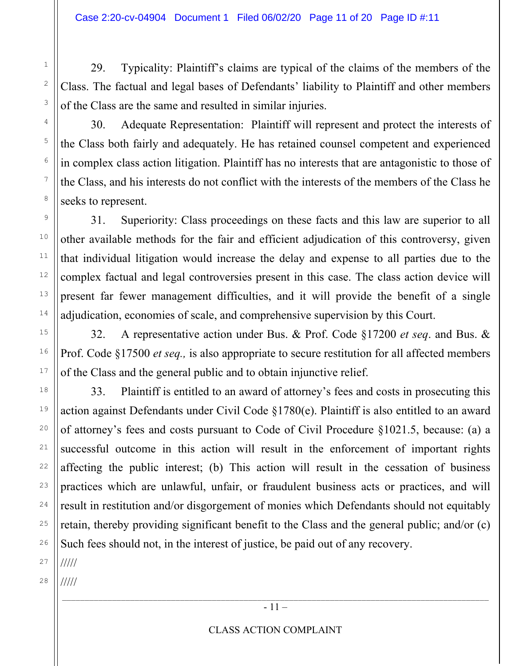29. Typicality: Plaintiff's claims are typical of the claims of the members of the Class. The factual and legal bases of Defendants' liability to Plaintiff and other members of the Class are the same and resulted in similar injuries.

30. Adequate Representation: Plaintiff will represent and protect the interests of the Class both fairly and adequately. He has retained counsel competent and experienced in complex class action litigation. Plaintiff has no interests that are antagonistic to those of the Class, and his interests do not conflict with the interests of the members of the Class he seeks to represent.

31. Superiority: Class proceedings on these facts and this law are superior to all other available methods for the fair and efficient adjudication of this controversy, given that individual litigation would increase the delay and expense to all parties due to the complex factual and legal controversies present in this case. The class action device will present far fewer management difficulties, and it will provide the benefit of a single adjudication, economies of scale, and comprehensive supervision by this Court.

32. A representative action under Bus. & Prof. Code §17200 *et seq*. and Bus. & Prof. Code §17500 *et seq.,* is also appropriate to secure restitution for all affected members of the Class and the general public and to obtain injunctive relief.

33. Plaintiff is entitled to an award of attorney's fees and costs in prosecuting this action against Defendants under Civil Code §1780(e). Plaintiff is also entitled to an award of attorney's fees and costs pursuant to Code of Civil Procedure §1021.5, because: (a) a successful outcome in this action will result in the enforcement of important rights affecting the public interest; (b) This action will result in the cessation of business practices which are unlawful, unfair, or fraudulent business acts or practices, and will result in restitution and/or disgorgement of monies which Defendants should not equitably retain, thereby providing significant benefit to the Class and the general public; and/or (c) Such fees should not, in the interest of justice, be paid out of any recovery.

27 /////

28 /////

1

2

3

4

5

6

7

8

9

10

11

12

13

14

15

16

17

18

19

20

21

22

23

24

25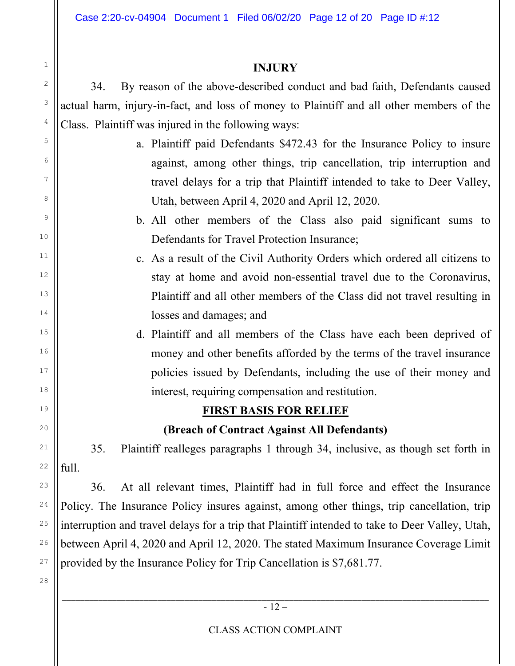Case 2:20-cv-04904 Document 1 Filed 06/02/20 Page 12 of 20 Page ID #:12

#### **INJURY**

34. By reason of the above-described conduct and bad faith, Defendants caused actual harm, injury-in-fact, and loss of money to Plaintiff and all other members of the Class. Plaintiff was injured in the following ways:

- a. Plaintiff paid Defendants \$472.43 for the Insurance Policy to insure against, among other things, trip cancellation, trip interruption and travel delays for a trip that Plaintiff intended to take to Deer Valley, Utah, between April 4, 2020 and April 12, 2020.
- b. All other members of the Class also paid significant sums to Defendants for Travel Protection Insurance;
- c. As a result of the Civil Authority Orders which ordered all citizens to stay at home and avoid non-essential travel due to the Coronavirus, Plaintiff and all other members of the Class did not travel resulting in losses and damages; and
	- d. Plaintiff and all members of the Class have each been deprived of money and other benefits afforded by the terms of the travel insurance policies issued by Defendants, including the use of their money and interest, requiring compensation and restitution.

# **FIRST BASIS FOR RELIEF**

# **(Breach of Contract Against All Defendants)**

35. Plaintiff realleges paragraphs 1 through 34, inclusive, as though set forth in full.

36. At all relevant times, Plaintiff had in full force and effect the Insurance Policy. The Insurance Policy insures against, among other things, trip cancellation, trip interruption and travel delays for a trip that Plaintiff intended to take to Deer Valley, Utah, between April 4, 2020 and April 12, 2020. The stated Maximum Insurance Coverage Limit provided by the Insurance Policy for Trip Cancellation is \$7,681.77.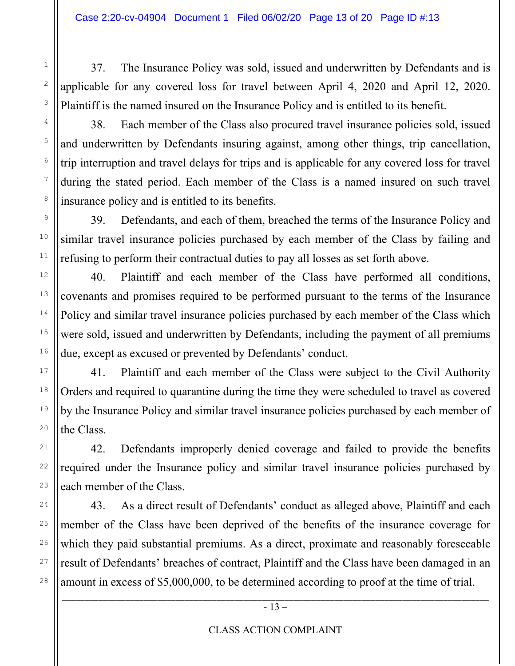37. The Insurance Policy was sold, issued and underwritten by Defendants and is applicable for any covered loss for travel between April 4, 2020 and April 12, 2020. Plaintiff is the named insured on the Insurance Policy and is entitled to its benefit.

38. Each member of the Class also procured travel insurance policies sold, issued and underwritten by Defendants insuring against, among other things, trip cancellation, trip interruption and travel delays for trips and is applicable for any covered loss for travel during the stated period. Each member of the Class is a named insured on such travel insurance policy and is entitled to its benefits.

39. Defendants, and each of them, breached the terms of the Insurance Policy and similar travel insurance policies purchased by each member of the Class by failing and refusing to perform their contractual duties to pay all losses as set forth above.

40. Plaintiff and each member of the Class have performed all conditions, covenants and promises required to be performed pursuant to the terms of the Insurance Policy and similar travel insurance policies purchased by each member of the Class which were sold, issued and underwritten by Defendants, including the payment of all premiums due, except as excused or prevented by Defendants' conduct.

41. Plaintiff and each member of the Class were subject to the Civil Authority Orders and required to quarantine during the time they were scheduled to travel as covered by the Insurance Policy and similar travel insurance policies purchased by each member of the Class.

42. Defendants improperly denied coverage and failed to provide the benefits required under the Insurance policy and similar travel insurance policies purchased by each member of the Class.

43. As a direct result of Defendants' conduct as alleged above, Plaintiff and each member of the Class have been deprived of the benefits of the insurance coverage for which they paid substantial premiums. As a direct, proximate and reasonably foreseeable result of Defendants' breaches of contract, Plaintiff and the Class have been damaged in an amount in excess of \$5,000,000, to be determined according to proof at the time of trial.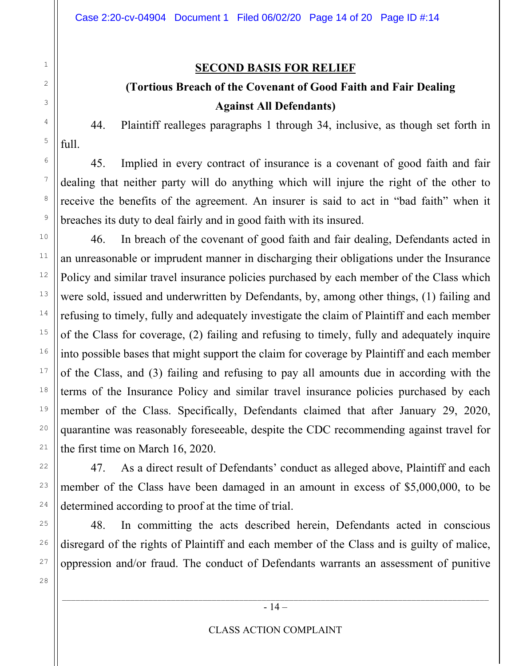2

3

4

5

6

7

8

9

10

11

12

13

14

15

16

17

18

19

20

21

22

23

24

25

26

27

28

#### **SECOND BASIS FOR RELIEF**

# **(Tortious Breach of the Covenant of Good Faith and Fair Dealing Against All Defendants)**

44. Plaintiff realleges paragraphs 1 through 34, inclusive, as though set forth in full.

45. Implied in every contract of insurance is a covenant of good faith and fair dealing that neither party will do anything which will injure the right of the other to receive the benefits of the agreement. An insurer is said to act in "bad faith" when it breaches its duty to deal fairly and in good faith with its insured.

46. In breach of the covenant of good faith and fair dealing, Defendants acted in an unreasonable or imprudent manner in discharging their obligations under the Insurance Policy and similar travel insurance policies purchased by each member of the Class which were sold, issued and underwritten by Defendants, by, among other things, (1) failing and refusing to timely, fully and adequately investigate the claim of Plaintiff and each member of the Class for coverage, (2) failing and refusing to timely, fully and adequately inquire into possible bases that might support the claim for coverage by Plaintiff and each member of the Class, and (3) failing and refusing to pay all amounts due in according with the terms of the Insurance Policy and similar travel insurance policies purchased by each member of the Class. Specifically, Defendants claimed that after January 29, 2020, quarantine was reasonably foreseeable, despite the CDC recommending against travel for the first time on March 16, 2020.

47. As a direct result of Defendants' conduct as alleged above, Plaintiff and each member of the Class have been damaged in an amount in excess of \$5,000,000, to be determined according to proof at the time of trial.

48. In committing the acts described herein, Defendants acted in conscious disregard of the rights of Plaintiff and each member of the Class and is guilty of malice, oppression and/or fraud. The conduct of Defendants warrants an assessment of punitive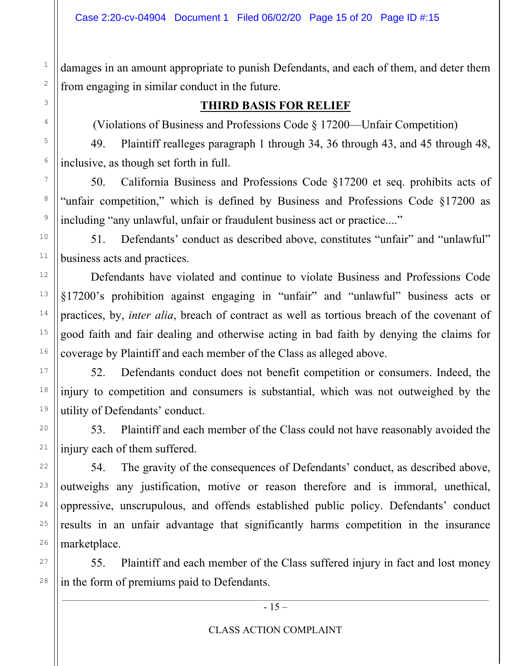2

3

4

5

6

7

8

9

10

11

12

13

14

15

16

17

18

19

20

21

22

23

24

25

26

27

28

damages in an amount appropriate to punish Defendants, and each of them, and deter them from engaging in similar conduct in the future.

### **THIRD BASIS FOR RELIEF**

(Violations of Business and Professions Code § 17200—Unfair Competition)

49. Plaintiff realleges paragraph 1 through 34, 36 through 43, and 45 through 48, inclusive, as though set forth in full.

50. California Business and Professions Code §17200 et seq. prohibits acts of "unfair competition," which is defined by Business and Professions Code §17200 as including "any unlawful, unfair or fraudulent business act or practice...."

51. Defendants' conduct as described above, constitutes "unfair" and "unlawful" business acts and practices.

Defendants have violated and continue to violate Business and Professions Code §17200's prohibition against engaging in "unfair" and "unlawful" business acts or practices, by, *inter alia*, breach of contract as well as tortious breach of the covenant of good faith and fair dealing and otherwise acting in bad faith by denying the claims for coverage by Plaintiff and each member of the Class as alleged above.

52. Defendants conduct does not benefit competition or consumers. Indeed, the injury to competition and consumers is substantial, which was not outweighed by the utility of Defendants' conduct.

53. Plaintiff and each member of the Class could not have reasonably avoided the injury each of them suffered.

54. The gravity of the consequences of Defendants' conduct, as described above, outweighs any justification, motive or reason therefore and is immoral, unethical, oppressive, unscrupulous, and offends established public policy. Defendants' conduct results in an unfair advantage that significantly harms competition in the insurance marketplace.

55. Plaintiff and each member of the Class suffered injury in fact and lost money in the form of premiums paid to Defendants.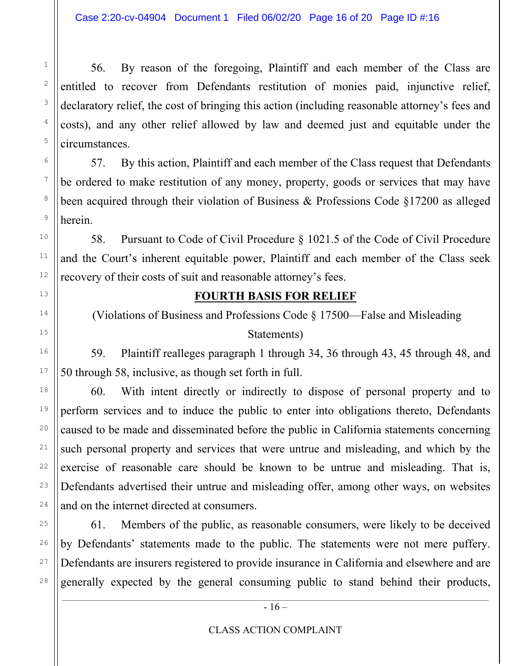56. By reason of the foregoing, Plaintiff and each member of the Class are entitled to recover from Defendants restitution of monies paid, injunctive relief, declaratory relief, the cost of bringing this action (including reasonable attorney's fees and costs), and any other relief allowed by law and deemed just and equitable under the circumstances.

57. By this action, Plaintiff and each member of the Class request that Defendants be ordered to make restitution of any money, property, goods or services that may have been acquired through their violation of Business & Professions Code §17200 as alleged herein.

58. Pursuant to Code of Civil Procedure § 1021.5 of the Code of Civil Procedure and the Court's inherent equitable power, Plaintiff and each member of the Class seek recovery of their costs of suit and reasonable attorney's fees.

### **FOURTH BASIS FOR RELIEF**

 (Violations of Business and Professions Code § 17500—False and Misleading Statements)

59. Plaintiff realleges paragraph 1 through 34, 36 through 43, 45 through 48, and 50 through 58, inclusive, as though set forth in full.

60. With intent directly or indirectly to dispose of personal property and to perform services and to induce the public to enter into obligations thereto, Defendants caused to be made and disseminated before the public in California statements concerning such personal property and services that were untrue and misleading, and which by the exercise of reasonable care should be known to be untrue and misleading. That is, Defendants advertised their untrue and misleading offer, among other ways, on websites and on the internet directed at consumers.

61. Members of the public, as reasonable consumers, were likely to be deceived by Defendants' statements made to the public. The statements were not mere puffery. Defendants are insurers registered to provide insurance in California and elsewhere and are generally expected by the general consuming public to stand behind their products,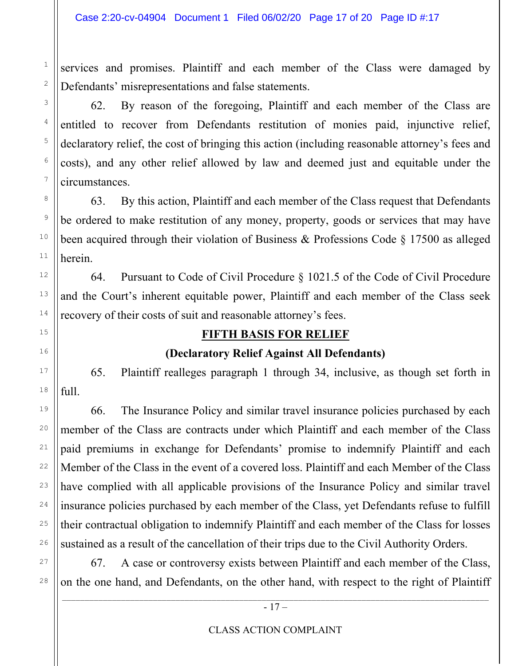services and promises. Plaintiff and each member of the Class were damaged by Defendants' misrepresentations and false statements.

62. By reason of the foregoing, Plaintiff and each member of the Class are entitled to recover from Defendants restitution of monies paid, injunctive relief, declaratory relief, the cost of bringing this action (including reasonable attorney's fees and costs), and any other relief allowed by law and deemed just and equitable under the circumstances.

63. By this action, Plaintiff and each member of the Class request that Defendants be ordered to make restitution of any money, property, goods or services that may have been acquired through their violation of Business & Professions Code § 17500 as alleged herein.

64. Pursuant to Code of Civil Procedure § 1021.5 of the Code of Civil Procedure and the Court's inherent equitable power, Plaintiff and each member of the Class seek recovery of their costs of suit and reasonable attorney's fees.

# **FIFTH BASIS FOR RELIEF**

# **(Declaratory Relief Against All Defendants)**

65. Plaintiff realleges paragraph 1 through 34, inclusive, as though set forth in full.

66. The Insurance Policy and similar travel insurance policies purchased by each member of the Class are contracts under which Plaintiff and each member of the Class paid premiums in exchange for Defendants' promise to indemnify Plaintiff and each Member of the Class in the event of a covered loss. Plaintiff and each Member of the Class have complied with all applicable provisions of the Insurance Policy and similar travel insurance policies purchased by each member of the Class, yet Defendants refuse to fulfill their contractual obligation to indemnify Plaintiff and each member of the Class for losses sustained as a result of the cancellation of their trips due to the Civil Authority Orders.

67. A case or controversy exists between Plaintiff and each member of the Class, on the one hand, and Defendants, on the other hand, with respect to the right of Plaintiff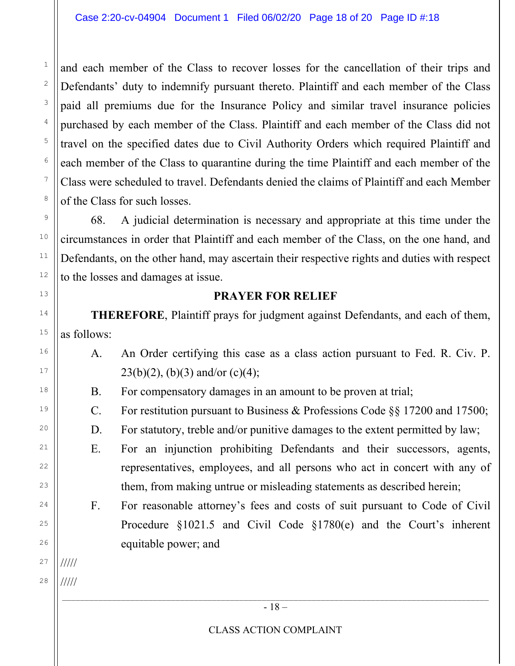and each member of the Class to recover losses for the cancellation of their trips and Defendants' duty to indemnify pursuant thereto. Plaintiff and each member of the Class paid all premiums due for the Insurance Policy and similar travel insurance policies purchased by each member of the Class. Plaintiff and each member of the Class did not travel on the specified dates due to Civil Authority Orders which required Plaintiff and each member of the Class to quarantine during the time Plaintiff and each member of the Class were scheduled to travel. Defendants denied the claims of Plaintiff and each Member of the Class for such losses.

68. A judicial determination is necessary and appropriate at this time under the circumstances in order that Plaintiff and each member of the Class, on the one hand, and Defendants, on the other hand, may ascertain their respective rights and duties with respect to the losses and damages at issue.

#### **PRAYER FOR RELIEF**

**THEREFORE**, Plaintiff prays for judgment against Defendants, and each of them, as follows:

- A. An Order certifying this case as a class action pursuant to Fed. R. Civ. P.  $23(b)(2)$ , (b)(3) and/or (c)(4);
	- B. For compensatory damages in an amount to be proven at trial;
- C. For restitution pursuant to Business & Professions Code §§ 17200 and 17500;
	- D. For statutory, treble and/or punitive damages to the extent permitted by law;
	- E. For an injunction prohibiting Defendants and their successors, agents, representatives, employees, and all persons who act in concert with any of them, from making untrue or misleading statements as described herein;
	- F. For reasonable attorney's fees and costs of suit pursuant to Code of Civil Procedure §1021.5 and Civil Code §1780(e) and the Court's inherent equitable power; and

27 /////

1

2

3

4

5

6

7

8

9

10

11

12

13

14

15

16

17

18

19

 $20$ 

21

22

 $2<sup>2</sup>$ 

24

25

26

28 /////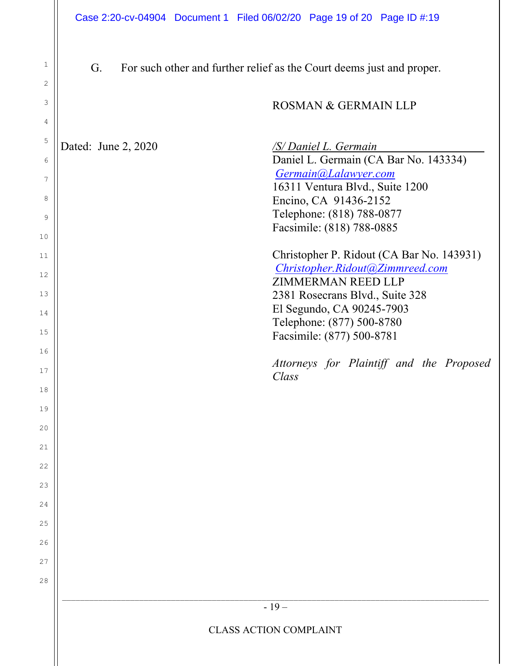| 1<br>2                                                                                                                                 | G.                            | For such other and further relief as the Court deems just and proper.                                                                                                                                                                                                                                                                                                                                                                                                                                    |  |  |  |  |
|----------------------------------------------------------------------------------------------------------------------------------------|-------------------------------|----------------------------------------------------------------------------------------------------------------------------------------------------------------------------------------------------------------------------------------------------------------------------------------------------------------------------------------------------------------------------------------------------------------------------------------------------------------------------------------------------------|--|--|--|--|
| 3                                                                                                                                      |                               | ROSMAN & GERMAIN LLP                                                                                                                                                                                                                                                                                                                                                                                                                                                                                     |  |  |  |  |
| 4<br>5<br>6<br>7<br>8<br>9<br>10<br>11<br>12<br>13<br>14<br>15<br>16<br>17<br>18<br>19<br>20<br>21<br>22<br>23<br>24<br>25<br>26<br>27 | Dated: June 2, 2020           | /S/ Daniel L. Germain<br>Daniel L. Germain (CA Bar No. 143334)<br>Germain@Lalawyer.com<br>16311 Ventura Blvd., Suite 1200<br>Encino, CA 91436-2152<br>Telephone: (818) 788-0877<br>Facsimile: (818) 788-0885<br>Christopher P. Ridout (CA Bar No. 143931)<br>Christopher.Ridout@Zimmreed.com<br><b>ZIMMERMAN REED LLP</b><br>2381 Rosecrans Blvd., Suite 328<br>El Segundo, CA 90245-7903<br>Telephone: (877) 500-8780<br>Facsimile: (877) 500-8781<br>Attorneys for Plaintiff and the Proposed<br>Class |  |  |  |  |
| 28                                                                                                                                     | $-19-$                        |                                                                                                                                                                                                                                                                                                                                                                                                                                                                                                          |  |  |  |  |
|                                                                                                                                        | <b>CLASS ACTION COMPLAINT</b> |                                                                                                                                                                                                                                                                                                                                                                                                                                                                                                          |  |  |  |  |